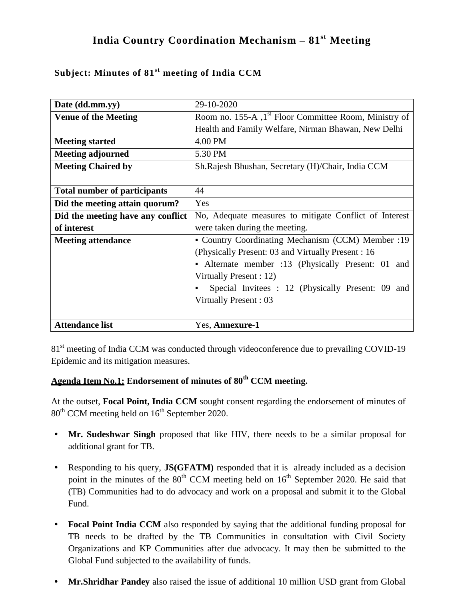# **India Country Coordination Mechanism – 81st Meeting**

| Date (dd.mm.yy)                     | 29-10-2020                                                         |  |  |
|-------------------------------------|--------------------------------------------------------------------|--|--|
| <b>Venue of the Meeting</b>         | Room no. 155-A , 1 <sup>st</sup> Floor Committee Room, Ministry of |  |  |
|                                     | Health and Family Welfare, Nirman Bhawan, New Delhi                |  |  |
| <b>Meeting started</b>              | 4.00 PM                                                            |  |  |
| <b>Meeting adjourned</b>            | 5.30 PM                                                            |  |  |
| <b>Meeting Chaired by</b>           | Sh. Rajesh Bhushan, Secretary (H)/Chair, India CCM                 |  |  |
|                                     |                                                                    |  |  |
| <b>Total number of participants</b> | 44                                                                 |  |  |
| Did the meeting attain quorum?      | Yes                                                                |  |  |
| Did the meeting have any conflict   | No, Adequate measures to mitigate Conflict of Interest             |  |  |
| of interest                         | were taken during the meeting.                                     |  |  |
| <b>Meeting attendance</b>           | • Country Coordinating Mechanism (CCM) Member :19                  |  |  |
|                                     | (Physically Present: 03 and Virtually Present : 16                 |  |  |
|                                     | • Alternate member :13 (Physically Present: 01 and                 |  |  |
|                                     | Virtually Present : 12)                                            |  |  |
|                                     | Special Invitees : 12 (Physically Present: 09 and                  |  |  |
|                                     | Virtually Present: 03                                              |  |  |
|                                     |                                                                    |  |  |
| <b>Attendance list</b>              | Yes, Annexure-1                                                    |  |  |

## **Subject: Minutes of 81 st meeting of India CCM**

81<sup>st</sup> meeting of India CCM was conducted through videoconference due to prevailing COVID-19 Epidemic and its mitigation measures.

# **Agenda Item No.1: Endorsement of minutes of 80th CCM meeting.**

At the outset, **Focal Point, India CCM** sought consent regarding the endorsement of minutes of  $80<sup>th</sup>$  CCM meeting held on  $16<sup>th</sup>$  September 2020.

- **• Mr. Sudeshwar Singh** proposed that like HIV, there needs to be a similar proposal for additional grant for TB.
- **•** Responding to his query, **JS(GFATM)** responded that it is already included as a decision point in the minutes of the  $80<sup>th</sup>$  CCM meeting held on  $16<sup>th</sup>$  September 2020. He said that (TB) Communities had to do advocacy and work on a proposal and submit it to the Global Fund.
- **Focal Point India CCM** also responded by saying that the additional funding proposal for TB needs to be drafted by the TB Communities in consultation with Civil Society Organizations and KP Communities after due advocacy. It may then be submitted to the Global Fund subjected to the availability of funds.
- **• Mr.Shridhar Pandey** also raised the issue of additional 10 million USD grant from Global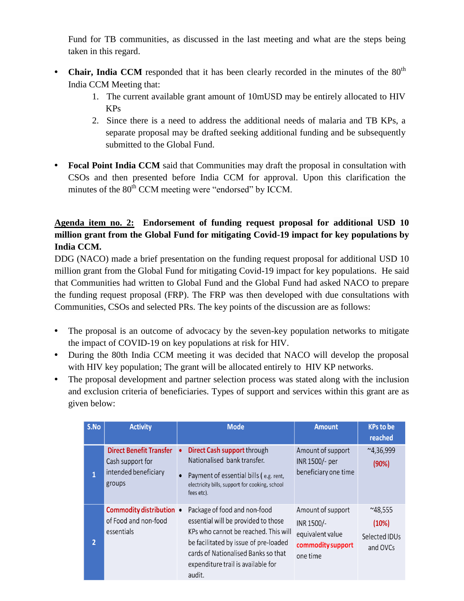Fund for TB communities, as discussed in the last meeting and what are the steps being taken in this regard.

- **Chair, India CCM** responded that it has been clearly recorded in the minutes of the  $80<sup>th</sup>$ India CCM Meeting that:
	- 1. The current available grant amount of 10mUSD may be entirely allocated to HIV KPs
	- 2. Since there is a need to address the additional needs of malaria and TB KPs, a separate proposal may be drafted seeking additional funding and be subsequently submitted to the Global Fund.
- **• Focal Point India CCM** said that Communities may draft the proposal in consultation with CSOs and then presented before India CCM for approval. Upon this clarification the minutes of the 80<sup>th</sup> CCM meeting were "endorsed" by ICCM.

## **Agenda item no. 2: Endorsement of funding request proposal for additional USD 10 million grant from the Global Fund for mitigating Covid-19 impact for key populations by India CCM.**

DDG (NACO) made a brief presentation on the funding request proposal for additional USD 10 million grant from the Global Fund for mitigating Covid-19 impact for key populations. He said that Communities had written to Global Fund and the Global Fund had asked NACO to prepare the funding request proposal (FRP). The FRP was then developed with due consultations with Communities, CSOs and selected PRs. The key points of the discussion are as follows:

- The proposal is an outcome of advocacy by the seven-key population networks to mitigate the impact of COVID-19 on key populations at risk for HIV.
- **•** During the 80th India CCM meeting it was decided that NACO will develop the proposal with HIV key population; The grant will be allocated entirely to HIV KP networks.
- The proposal development and partner selection process was stated along with the inclusion and exclusion criteria of beneficiaries. Types of support and services within this grant are as given below:

| S.No           | <b>Activity</b>                                                                      | <b>Mode</b>                                                                                                                                                                                                                                 | <b>Amount</b>                                                                        | <b>KPs to be</b><br>reached                           |
|----------------|--------------------------------------------------------------------------------------|---------------------------------------------------------------------------------------------------------------------------------------------------------------------------------------------------------------------------------------------|--------------------------------------------------------------------------------------|-------------------------------------------------------|
| 1              | <b>Direct Benefit Transfer</b><br>Cash support for<br>intended beneficiary<br>groups | Direct Cash support through<br>Nationalised bank transfer.<br>Payment of essential bills (e.g. rent,<br>electricity bills, support for cooking, school<br>fees etc).                                                                        | Amount of support<br>INR 1500/- per<br>beneficiary one time                          | $^{\sim}4,36,999$<br>(90%)                            |
| $\overline{2}$ | <b>Commodity distribution •</b><br>of Food and non-food<br>essentials                | Package of food and non-food<br>essential will be provided to those<br>KPs who cannot be reached. This will<br>be facilitated by issue of pre-loaded<br>cards of Nationalised Banks so that<br>expenditure trail is available for<br>audit. | Amount of support<br>INR 1500/-<br>equivalent value<br>commodity support<br>one time | $^{\sim}48,555$<br>(10%)<br>Selected IDUs<br>and OVCs |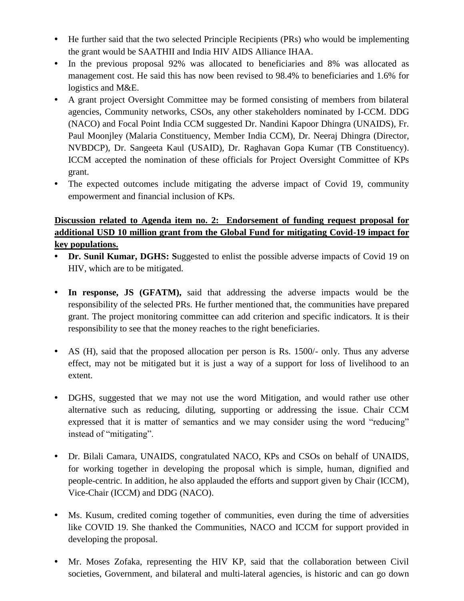- He further said that the two selected Principle Recipients (PRs) who would be implementing the grant would be SAATHII and India HIV AIDS Alliance IHAA.
- In the previous proposal 92% was allocated to beneficiaries and 8% was allocated as management cost. He said this has now been revised to 98.4% to beneficiaries and 1.6% for logistics and M&E.
- **•** A grant project Oversight Committee may be formed consisting of members from bilateral agencies, Community networks, CSOs, any other stakeholders nominated by I-CCM. DDG (NACO) and Focal Point India CCM suggested Dr. Nandini Kapoor Dhingra (UNAIDS), Fr. Paul Moonjley (Malaria Constituency, Member India CCM), Dr. Neeraj Dhingra (Director, NVBDCP), Dr. Sangeeta Kaul (USAID), Dr. Raghavan Gopa Kumar (TB Constituency). ICCM accepted the nomination of these officials for Project Oversight Committee of KPs grant.
- **•** The expected outcomes include mitigating the adverse impact of Covid 19, community empowerment and financial inclusion of KPs.

## **Discussion related to Agenda item no. 2: Endorsement of funding request proposal for additional USD 10 million grant from the Global Fund for mitigating Covid-19 impact for key populations.**

- **Dr. Sunil Kumar, DGHS:** Suggested to enlist the possible adverse impacts of Covid 19 on HIV, which are to be mitigated.
- **• In response, JS (GFATM),** said that addressing the adverse impacts would be the responsibility of the selected PRs. He further mentioned that, the communities have prepared grant. The project monitoring committee can add criterion and specific indicators. It is their responsibility to see that the money reaches to the right beneficiaries.
- AS (H), said that the proposed allocation per person is Rs. 1500/- only. Thus any adverse effect, may not be mitigated but it is just a way of a support for loss of livelihood to an extent.
- **•** DGHS, suggested that we may not use the word Mitigation, and would rather use other alternative such as reducing, diluting, supporting or addressing the issue. Chair CCM expressed that it is matter of semantics and we may consider using the word "reducing" instead of "mitigating".
- **•** Dr. Bilali Camara, UNAIDS, congratulated NACO, KPs and CSOs on behalf of UNAIDS, for working together in developing the proposal which is simple, human, dignified and people-centric. In addition, he also applauded the efforts and support given by Chair (ICCM), Vice-Chair (ICCM) and DDG (NACO).
- **•** Ms. Kusum, credited coming together of communities, even during the time of adversities like COVID 19. She thanked the Communities, NACO and ICCM for support provided in developing the proposal.
- **•** Mr. Moses Zofaka, representing the HIV KP, said that the collaboration between Civil societies, Government, and bilateral and multi-lateral agencies, is historic and can go down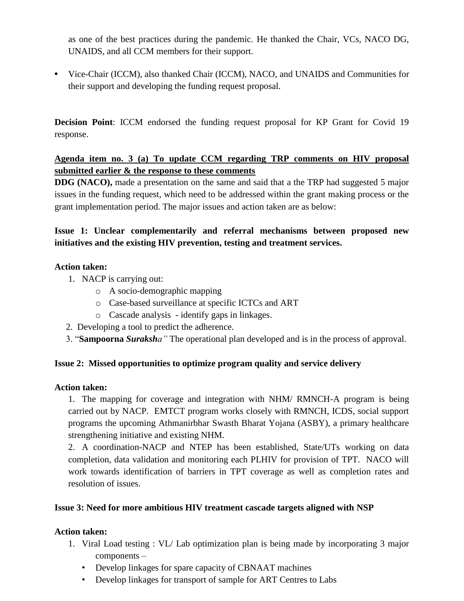as one of the best practices during the pandemic. He thanked the Chair, VCs, NACO DG, UNAIDS, and all CCM members for their support.

**•** Vice-Chair (ICCM), also thanked Chair (ICCM), NACO, and UNAIDS and Communities for their support and developing the funding request proposal.

**Decision Point**: ICCM endorsed the funding request proposal for KP Grant for Covid 19 response.

## **Agenda item no. 3 (a) To update CCM regarding TRP comments on HIV proposal submitted earlier & the response to these comments**

**DDG (NACO),** made a presentation on the same and said that a the TRP had suggested 5 major issues in the funding request, which need to be addressed within the grant making process or the grant implementation period. The major issues and action taken are as below:

## **Issue 1: Unclear complementarily and referral mechanisms between proposed new initiatives and the existing HIV prevention, testing and treatment services.**

#### **Action taken:**

- 1. NACP is carrying out:
	- o A socio-demographic mapping
	- o Case-based surveillance at specific ICTCs and ART
	- o Cascade analysis identify gaps in linkages.
- 2. Developing a tool to predict the adherence.
- 3. "**Sampoorna** *Suraksha"* The operational plan developed and is in the process of approval.

#### **Issue 2: Missed opportunities to optimize program quality and service delivery**

#### **Action taken:**

1. The mapping for coverage and integration with NHM/ RMNCH-A program is being carried out by NACP. EMTCT program works closely with RMNCH, ICDS, social support programs the upcoming Athmanirbhar Swasth Bharat Yojana (ASBY), a primary healthcare strengthening initiative and existing NHM.

2. A coordination-NACP and NTEP has been established, State/UTs working on data completion, data validation and monitoring each PLHIV for provision of TPT. NACO will work towards identification of barriers in TPT coverage as well as completion rates and resolution of issues.

#### **Issue 3: Need for more ambitious HIV treatment cascade targets aligned with NSP**

#### **Action taken:**

- 1. Viral Load testing : VL/ Lab optimization plan is being made by incorporating 3 major components –
	- Develop linkages for spare capacity of CBNAAT machines
	- Develop linkages for transport of sample for ART Centres to Labs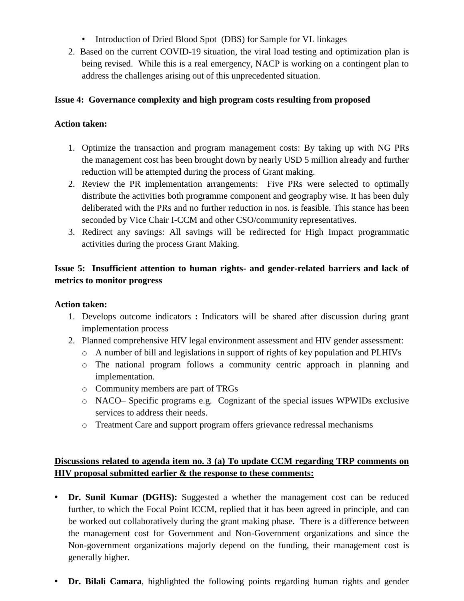- Introduction of Dried Blood Spot (DBS) for Sample for VL linkages
- 2. Based on the current COVID-19 situation, the viral load testing and optimization plan is being revised. While this is a real emergency, NACP is working on a contingent plan to address the challenges arising out of this unprecedented situation.

### **Issue 4: Governance complexity and high program costs resulting from proposed**

### **Action taken:**

- 1. Optimize the transaction and program management costs: By taking up with NG PRs the management cost has been brought down by nearly USD 5 million already and further reduction will be attempted during the process of Grant making.
- 2. Review the PR implementation arrangements: Five PRs were selected to optimally distribute the activities both programme component and geography wise. It has been duly deliberated with the PRs and no further reduction in nos. is feasible. This stance has been seconded by Vice Chair I-CCM and other CSO/community representatives.
- 3. Redirect any savings: All savings will be redirected for High Impact programmatic activities during the process Grant Making.

## **Issue 5: Insufficient attention to human rights- and gender-related barriers and lack of metrics to monitor progress**

#### **Action taken:**

- 1. Develops outcome indicators **:** Indicators will be shared after discussion during grant implementation process
- 2. Planned comprehensive HIV legal environment assessment and HIV gender assessment:
	- o A number of bill and legislations in support of rights of key population and PLHIVs
	- o The national program follows a community centric approach in planning and implementation.
	- o Community members are part of TRGs
	- o NACO– Specific programs e.g. Cognizant of the special issues WPWIDs exclusive services to address their needs.
	- o Treatment Care and support program offers grievance redressal mechanisms

## **Discussions related to agenda item no. 3 (a) To update CCM regarding TRP comments on HIV proposal submitted earlier & the response to these comments:**

- **• Dr. Sunil Kumar (DGHS):** Suggested a whether the management cost can be reduced further, to which the Focal Point ICCM, replied that it has been agreed in principle, and can be worked out collaboratively during the grant making phase. There is a difference between the management cost for Government and Non-Government organizations and since the Non-government organizations majorly depend on the funding, their management cost is generally higher.
- **• Dr. Bilali Camara**, highlighted the following points regarding human rights and gender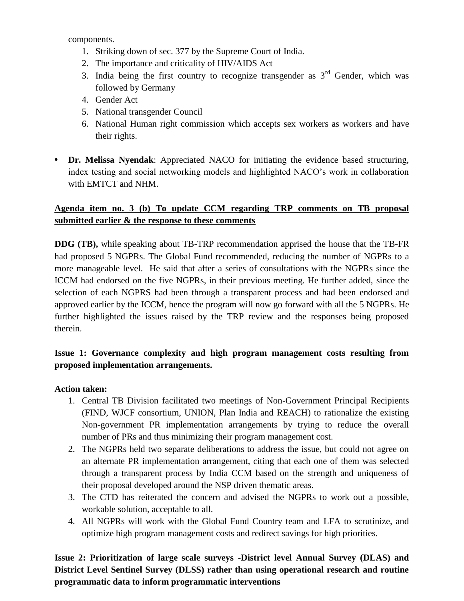components.

- 1. Striking down of sec. 377 by the Supreme Court of India.
- 2. The importance and criticality of HIV/AIDS Act
- 3. India being the first country to recognize transgender as  $3<sup>rd</sup>$  Gender, which was followed by Germany
- 4. Gender Act
- 5. National transgender Council
- 6. National Human right commission which accepts sex workers as workers and have their rights.
- **• Dr. Melissa Nyendak**: Appreciated NACO for initiating the evidence based structuring, index testing and social networking models and highlighted NACO's work in collaboration with EMTCT and NHM.

## **Agenda item no. 3 (b) To update CCM regarding TRP comments on TB proposal submitted earlier & the response to these comments**

**DDG (TB),** while speaking about TB-TRP recommendation apprised the house that the TB-FR had proposed 5 NGPRs. The Global Fund recommended, reducing the number of NGPRs to a more manageable level. He said that after a series of consultations with the NGPRs since the ICCM had endorsed on the five NGPRs, in their previous meeting. He further added, since the selection of each NGPRS had been through a transparent process and had been endorsed and approved earlier by the ICCM, hence the program will now go forward with all the 5 NGPRs. He further highlighted the issues raised by the TRP review and the responses being proposed therein.

## **Issue 1: Governance complexity and high program management costs resulting from proposed implementation arrangements.**

#### **Action taken:**

- 1. Central TB Division facilitated two meetings of Non-Government Principal Recipients (FIND, WJCF consortium, UNION, Plan India and REACH) to rationalize the existing Non-government PR implementation arrangements by trying to reduce the overall number of PRs and thus minimizing their program management cost.
- 2. The NGPRs held two separate deliberations to address the issue, but could not agree on an alternate PR implementation arrangement, citing that each one of them was selected through a transparent process by India CCM based on the strength and uniqueness of their proposal developed around the NSP driven thematic areas.
- 3. The CTD has reiterated the concern and advised the NGPRs to work out a possible, workable solution, acceptable to all.
- 4. All NGPRs will work with the Global Fund Country team and LFA to scrutinize, and optimize high program management costs and redirect savings for high priorities.

**Issue 2: Prioritization of large scale surveys -District level Annual Survey (DLAS) and District Level Sentinel Survey (DLSS) rather than using operational research and routine programmatic data to inform programmatic interventions**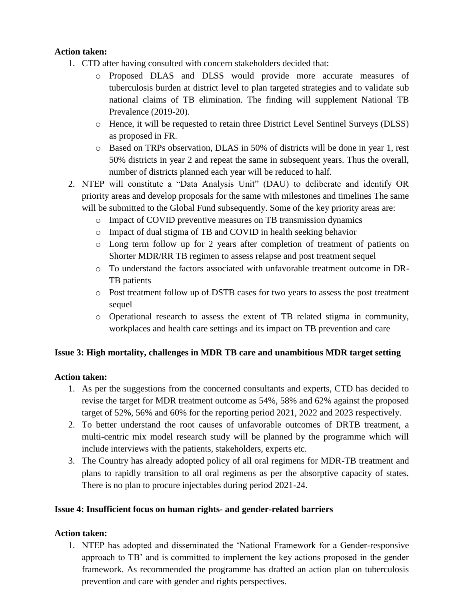### **Action taken:**

- 1. CTD after having consulted with concern stakeholders decided that:
	- o Proposed DLAS and DLSS would provide more accurate measures of tuberculosis burden at district level to plan targeted strategies and to validate sub national claims of TB elimination. The finding will supplement National TB Prevalence (2019-20).
	- o Hence, it will be requested to retain three District Level Sentinel Surveys (DLSS) as proposed in FR.
	- o Based on TRPs observation, DLAS in 50% of districts will be done in year 1, rest 50% districts in year 2 and repeat the same in subsequent years. Thus the overall, number of districts planned each year will be reduced to half.
- 2. NTEP will constitute a "Data Analysis Unit" (DAU) to deliberate and identify OR priority areas and develop proposals for the same with milestones and timelines The same will be submitted to the Global Fund subsequently. Some of the key priority areas are:
	- o Impact of COVID preventive measures on TB transmission dynamics
	- o Impact of dual stigma of TB and COVID in health seeking behavior
	- o Long term follow up for 2 years after completion of treatment of patients on Shorter MDR/RR TB regimen to assess relapse and post treatment sequel
	- o To understand the factors associated with unfavorable treatment outcome in DR-TB patients
	- o Post treatment follow up of DSTB cases for two years to assess the post treatment sequel
	- o Operational research to assess the extent of TB related stigma in community, workplaces and health care settings and its impact on TB prevention and care

#### **Issue 3: High mortality, challenges in MDR TB care and unambitious MDR target setting**

#### **Action taken:**

- 1. As per the suggestions from the concerned consultants and experts, CTD has decided to revise the target for MDR treatment outcome as 54%, 58% and 62% against the proposed target of 52%, 56% and 60% for the reporting period 2021, 2022 and 2023 respectively.
- 2. To better understand the root causes of unfavorable outcomes of DRTB treatment, a multi-centric mix model research study will be planned by the programme which will include interviews with the patients, stakeholders, experts etc.
- 3. The Country has already adopted policy of all oral regimens for MDR-TB treatment and plans to rapidly transition to all oral regimens as per the absorptive capacity of states. There is no plan to procure injectables during period 2021-24.

#### **Issue 4: Insufficient focus on human rights- and gender-related barriers**

#### **Action taken:**

1. NTEP has adopted and disseminated the 'National Framework for a Gender-responsive approach to TB' and is committed to implement the key actions proposed in the gender framework. As recommended the programme has drafted an action plan on tuberculosis prevention and care with gender and rights perspectives.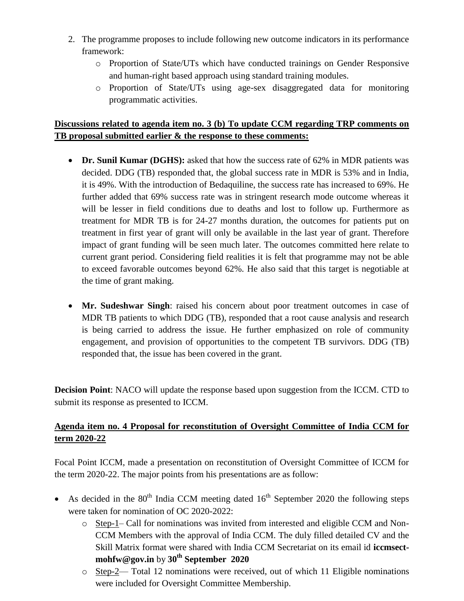- 2. The programme proposes to include following new outcome indicators in its performance framework:
	- o Proportion of State/UTs which have conducted trainings on Gender Responsive and human-right based approach using standard training modules.
	- o Proportion of State/UTs using age-sex disaggregated data for monitoring programmatic activities.

## **Discussions related to agenda item no. 3 (b) To update CCM regarding TRP comments on TB proposal submitted earlier & the response to these comments:**

- Dr. Sunil Kumar (DGHS): asked that how the success rate of 62% in MDR patients was decided. DDG (TB) responded that, the global success rate in MDR is 53% and in India, it is 49%. With the introduction of Bedaquiline, the success rate has increased to 69%. He further added that 69% success rate was in stringent research mode outcome whereas it will be lesser in field conditions due to deaths and lost to follow up. Furthermore as treatment for MDR TB is for 24-27 months duration, the outcomes for patients put on treatment in first year of grant will only be available in the last year of grant. Therefore impact of grant funding will be seen much later. The outcomes committed here relate to current grant period. Considering field realities it is felt that programme may not be able to exceed favorable outcomes beyond 62%. He also said that this target is negotiable at the time of grant making.
- **Mr. Sudeshwar Singh**: raised his concern about poor treatment outcomes in case of MDR TB patients to which DDG (TB), responded that a root cause analysis and research is being carried to address the issue. He further emphasized on role of community engagement, and provision of opportunities to the competent TB survivors. DDG (TB) responded that, the issue has been covered in the grant.

**Decision Point**: NACO will update the response based upon suggestion from the ICCM. CTD to submit its response as presented to ICCM.

## **Agenda item no. 4 Proposal for reconstitution of Oversight Committee of India CCM for term 2020-22**

Focal Point ICCM, made a presentation on reconstitution of Oversight Committee of ICCM for the term 2020-22. The major points from his presentations are as follow:

- As decided in the  $80<sup>th</sup>$  India CCM meeting dated  $16<sup>th</sup>$  September 2020 the following steps were taken for nomination of OC 2020-2022:
	- o Step-1– Call for nominations was invited from interested and eligible CCM and Non-CCM Members with the approval of India CCM. The duly filled detailed CV and the Skill Matrix format were shared with India CCM Secretariat on its email id **iccmsectmohfw@gov.in** by **30th September 2020**
	- o Step-2— Total 12 nominations were received, out of which 11 Eligible nominations were included for Oversight Committee Membership.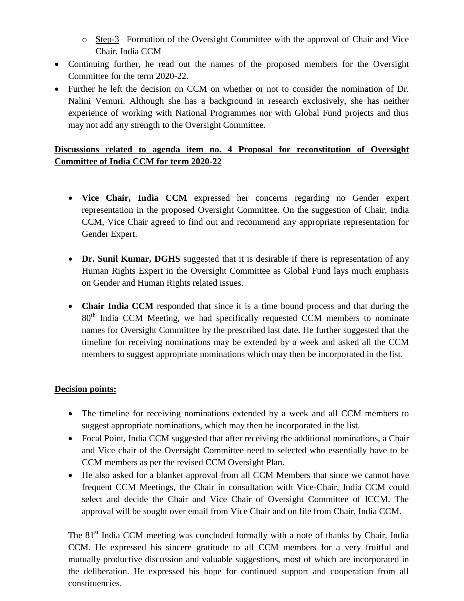- o Step-3– Formation of the Oversight Committee with the approval of Chair and Vice Chair, India CCM
- Continuing further, he read out the names of the proposed members for the Oversight Committee for the term 2020-22.
- Further he left the decision on CCM on whether or not to consider the nomination of Dr. Nalini Vemuri. Although she has a background in research exclusively, she has neither experience of working with National Programmes nor with Global Fund projects and thus may not add any strength to the Oversight Committee.

## **Discussions related to agenda item no. 4 Proposal for reconstitution of Oversight Committee of India CCM for term 2020-22**

- **Vice Chair, India CCM** expressed her concerns regarding no Gender expert representation in the proposed Oversight Committee. On the suggestion of Chair, India CCM, Vice Chair agreed to find out and recommend any appropriate representation for Gender Expert.
- **Dr. Sunil Kumar, DGHS** suggested that it is desirable if there is representation of any Human Rights Expert in the Oversight Committee as Global Fund lays much emphasis on Gender and Human Rights related issues.
- **Chair India CCM** responded that since it is a time bound process and that during the 80<sup>th</sup> India CCM Meeting, we had specifically requested CCM members to nominate names for Oversight Committee by the prescribed last date. He further suggested that the timeline for receiving nominations may be extended by a week and asked all the CCM members to suggest appropriate nominations which may then be incorporated in the list.

#### **Decision points:**

- The timeline for receiving nominations extended by a week and all CCM members to suggest appropriate nominations, which may then be incorporated in the list.
- Focal Point, India CCM suggested that after receiving the additional nominations, a Chair and Vice chair of the Oversight Committee need to selected who essentially have to be CCM members as per the revised CCM Oversight Plan.
- He also asked for a blanket approval from all CCM Members that since we cannot have frequent CCM Meetings, the Chair in consultation with Vice-Chair, India CCM could select and decide the Chair and Vice Chair of Oversight Committee of ICCM. The approval will be sought over email from Vice Chair and on file from Chair, India CCM.

The 81<sup>st</sup> India CCM meeting was concluded formally with a note of thanks by Chair, India CCM. He expressed his sincere gratitude to all CCM members for a very fruitful and mutually productive discussion and valuable suggestions, most of which are incorporated in the deliberation. He expressed his hope for continued support and cooperation from all constituencies.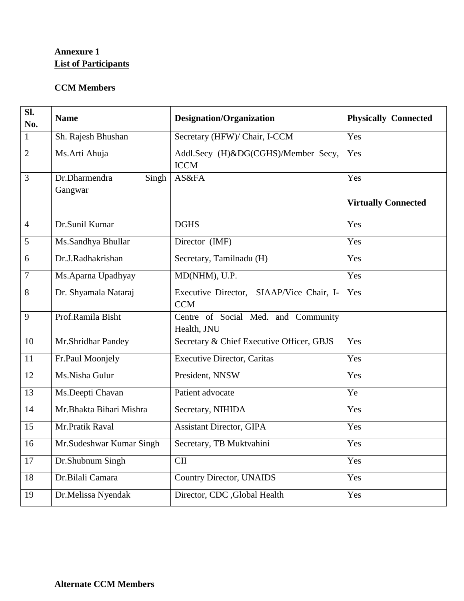## **Annexure 1 List of Participants**

## **CCM Members**

| SI.<br>No.     | <b>Name</b>                       | <b>Designation/Organization</b>                        | <b>Physically Connected</b> |
|----------------|-----------------------------------|--------------------------------------------------------|-----------------------------|
| $\mathbf{1}$   | Sh. Rajesh Bhushan                | Secretary (HFW)/ Chair, I-CCM                          | Yes                         |
| $\overline{2}$ | Ms.Arti Ahuja                     | Addl.Secy (H)&DG(CGHS)/Member Secy,<br><b>ICCM</b>     | Yes                         |
| $\overline{3}$ | Dr.Dharmendra<br>Singh<br>Gangwar | AS&FA                                                  | Yes                         |
|                |                                   |                                                        | <b>Virtually Connected</b>  |
| $\overline{4}$ | Dr.Sunil Kumar                    | <b>DGHS</b>                                            | Yes                         |
| 5              | Ms.Sandhya Bhullar                | Director (IMF)                                         | Yes                         |
| 6              | Dr.J.Radhakrishan                 | Secretary, Tamilnadu (H)                               | Yes                         |
| $\overline{7}$ | Ms.Aparna Upadhyay                | MD(NHM), U.P.                                          | Yes                         |
| 8              | Dr. Shyamala Nataraj              | Executive Director, SIAAP/Vice Chair, I-<br><b>CCM</b> | Yes                         |
| 9              | Prof.Ramila Bisht                 | Centre of Social Med. and Community<br>Health, JNU     |                             |
| 10             | Mr.Shridhar Pandey                | Secretary & Chief Executive Officer, GBJS              | Yes                         |
| 11             | Fr.Paul Moonjely                  | <b>Executive Director, Caritas</b>                     | Yes                         |
| 12             | Ms.Nisha Gulur                    | President, NNSW                                        | Yes                         |
| 13             | Ms.Deepti Chavan                  | Patient advocate                                       | Ye                          |
| 14             | Mr.Bhakta Bihari Mishra           | Secretary, NIHIDA                                      | Yes                         |
| 15             | Mr.Pratik Raval                   | <b>Assistant Director, GIPA</b>                        | Yes                         |
| 16             | Mr. Sudeshwar Kumar Singh         | Secretary, TB Muktvahini                               | Yes                         |
| 17             | Dr.Shubnum Singh                  | $\rm CII$                                              | Yes                         |
| 18             | Dr.Bilali Camara                  | <b>Country Director, UNAIDS</b>                        | Yes                         |
| 19             | Dr.Melissa Nyendak                | Director, CDC , Global Health                          | Yes                         |